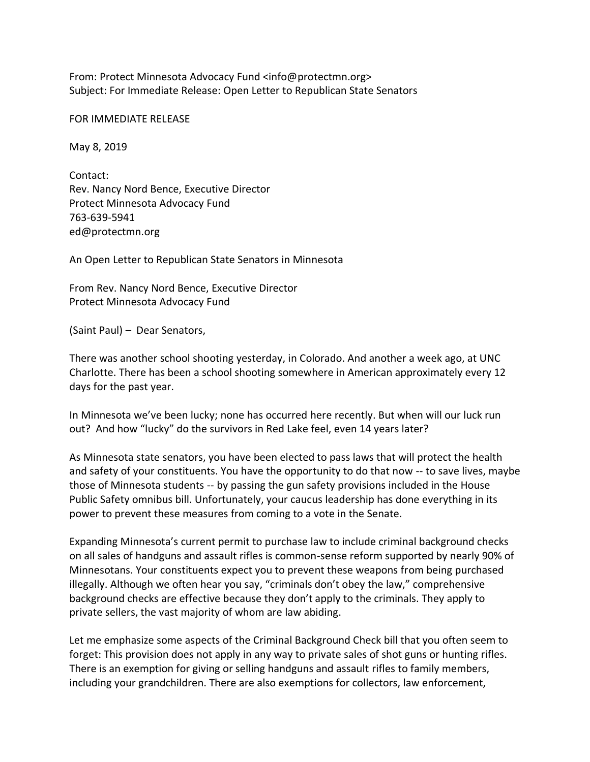From: Protect Minnesota Advocacy Fund <info@protectmn.org> Subject: For Immediate Release: Open Letter to Republican State Senators

FOR IMMEDIATE RELEASE

May 8, 2019

Contact: Rev. Nancy Nord Bence, Executive Director Protect Minnesota Advocacy Fund 763-639-5941 ed@protectmn.org

An Open Letter to Republican State Senators in Minnesota

From Rev. Nancy Nord Bence, Executive Director Protect Minnesota Advocacy Fund

(Saint Paul) – Dear Senators,

There was another school shooting yesterday, in Colorado. And another a week ago, at UNC Charlotte. There has been a school shooting somewhere in American approximately every 12 days for the past year.

In Minnesota we've been lucky; none has occurred here recently. But when will our luck run out? And how "lucky" do the survivors in Red Lake feel, even 14 years later?

As Minnesota state senators, you have been elected to pass laws that will protect the health and safety of your constituents. You have the opportunity to do that now -- to save lives, maybe those of Minnesota students -- by passing the gun safety provisions included in the House Public Safety omnibus bill. Unfortunately, your caucus leadership has done everything in its power to prevent these measures from coming to a vote in the Senate.

Expanding Minnesota's current permit to purchase law to include criminal background checks on all sales of handguns and assault rifles is common-sense reform supported by nearly 90% of Minnesotans. Your constituents expect you to prevent these weapons from being purchased illegally. Although we often hear you say, "criminals don't obey the law," comprehensive background checks are effective because they don't apply to the criminals. They apply to private sellers, the vast majority of whom are law abiding.

Let me emphasize some aspects of the Criminal Background Check bill that you often seem to forget: This provision does not apply in any way to private sales of shot guns or hunting rifles. There is an exemption for giving or selling handguns and assault rifles to family members, including your grandchildren. There are also exemptions for collectors, law enforcement,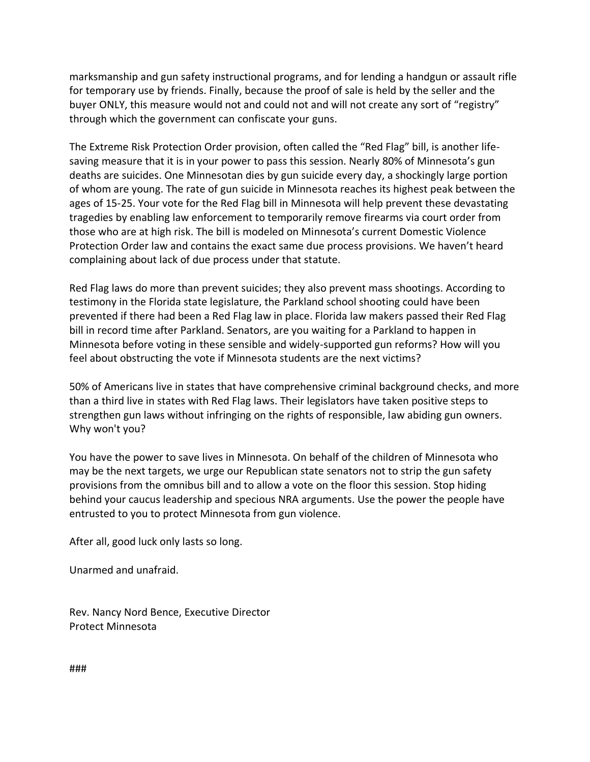marksmanship and gun safety instructional programs, and for lending a handgun or assault rifle for temporary use by friends. Finally, because the proof of sale is held by the seller and the buyer ONLY, this measure would not and could not and will not create any sort of "registry" through which the government can confiscate your guns.

The Extreme Risk Protection Order provision, often called the "Red Flag" bill, is another lifesaving measure that it is in your power to pass this session. Nearly 80% of Minnesota's gun deaths are suicides. One Minnesotan dies by gun suicide every day, a shockingly large portion of whom are young. The rate of gun suicide in Minnesota reaches its highest peak between the ages of 15-25. Your vote for the Red Flag bill in Minnesota will help prevent these devastating tragedies by enabling law enforcement to temporarily remove firearms via court order from those who are at high risk. The bill is modeled on Minnesota's current Domestic Violence Protection Order law and contains the exact same due process provisions. We haven't heard complaining about lack of due process under that statute.

Red Flag laws do more than prevent suicides; they also prevent mass shootings. According to testimony in the Florida state legislature, the Parkland school shooting could have been prevented if there had been a Red Flag law in place. Florida law makers passed their Red Flag bill in record time after Parkland. Senators, are you waiting for a Parkland to happen in Minnesota before voting in these sensible and widely-supported gun reforms? How will you feel about obstructing the vote if Minnesota students are the next victims?

50% of Americans live in states that have comprehensive criminal background checks, and more than a third live in states with Red Flag laws. Their legislators have taken positive steps to strengthen gun laws without infringing on the rights of responsible, law abiding gun owners. Why won't you?

You have the power to save lives in Minnesota. On behalf of the children of Minnesota who may be the next targets, we urge our Republican state senators not to strip the gun safety provisions from the omnibus bill and to allow a vote on the floor this session. Stop hiding behind your caucus leadership and specious NRA arguments. Use the power the people have entrusted to you to protect Minnesota from gun violence.

After all, good luck only lasts so long.

Unarmed and unafraid.

Rev. Nancy Nord Bence, Executive Director Protect Minnesota

###